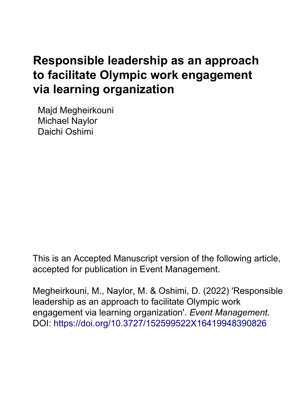# **Responsible leadership as an approach to facilitate Olympic work engagement via learning organization**

Majd Megheirkouni Michael Naylor Daichi Oshimi

This is an Accepted Manuscript version of the following article, accepted for publication in Event Management.

Megheirkouni, M., Naylor, M. & Oshimi, D. (2022) 'Responsible leadership as an approach to facilitate Olympic work engagement via learning organization'. *Event Management.* DOI:<https://doi.org/10.3727/152599522X16419948390826>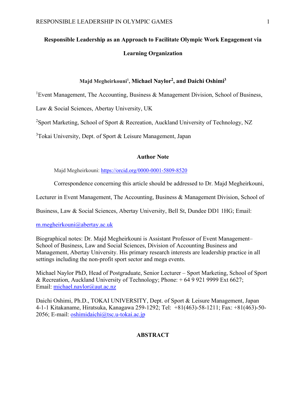## **Responsible Leadership as an Approach to Facilitate Olympic Work Engagement via Learning Organization**

#### **Majd Megheirkouni1 , Michael Naylor2, and Daichi Oshimi3**

<sup>1</sup> Event Management, The Accounting, Business & Management Division, School of Business,

Law & Social Sciences, Abertay University, UK

<sup>2</sup>Sport Marketing, School of Sport & Recreation, Auckland University of Technology, NZ

<sup>3</sup>Tokai University, Dept. of Sport & Leisure Management, Japan

#### **Author Note**

Majd Megheirkouni: <https://orcid.org/0000-0001-5809-8520>

Correspondence concerning this article should be addressed to Dr. Majd Megheirkouni,

Lecturer in Event Management, The Accounting, Business & Management Division, School of

Business, Law & Social Sciences, Abertay University, Bell St, Dundee DD1 1HG; Email:

#### [m.megheirkouni@abertay.ac.uk](mailto:m.megheirkouni@abertay.ac.uk)

Biographical notes: Dr. Majd Megheirkouni is Assistant Professor of Event Management– School of Business, Law and Social Sciences, Division of Accounting Business and Management, Abertay University. His primary research interests are leadership practice in all settings including the non-profit sport sector and mega events.

Michael Naylor PhD, Head of Postgraduate, Senior Lecturer – Sport Marketing, School of Sport & Recreation, Auckland University of Technology; Phone: + 64 9 921 9999 Ext 6627; Email: [michael.naylor@aut.ac.nz](mailto:michael.naylor@aut.ac.nz) 

Daichi Oshimi, Ph.D., TOKAI UNIVERSITY, Dept. of Sport & Leisure Management, Japan 4-1-1 Kitakaname, Hiratsuka, Kanagawa 259-1292; Tel: +81(463)-58-1211; Fax: +81(463)-50- 2056; E-mail: [oshimidaichi@tsc.u-tokai.ac.jp](mailto:oshimidaichi@tsc.u-tokai.ac.jp)

#### **ABSTRACT**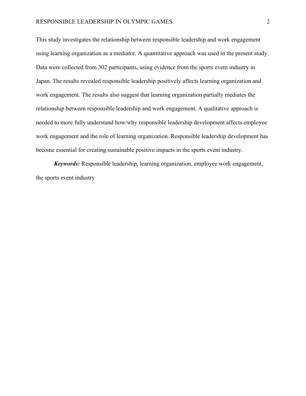This study investigates the relationship between responsible leadership and work engagement using learning organization as a mediator. A quantitative approach was used in the present study. Data were collected from 302 participants, using evidence from the sports event industry in Japan. The results revealed responsible leadership positively affects learning organization and work engagement. The results also suggest that learning organization partially mediates the relationship between responsible leadership and work engagement. A qualitative approach is needed to more fully understand how/why responsible leadership development affects employee work engagement and the role of learning organization. Responsible leadership development has become essential for creating sustainable positive impacts in the sports event industry.

*Keywords:* Responsible leadership, learning organization, employee work engagement, the sports event industry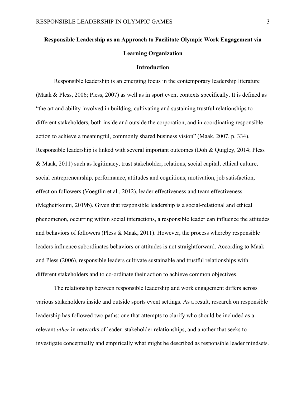## **Responsible Leadership as an Approach to Facilitate Olympic Work Engagement via Learning Organization**

#### **Introduction**

Responsible leadership is an emerging focus in the contemporary leadership literature (Maak & Pless, 2006; Pless, 2007) as well as in sport event contexts specifically. It is defined as "the art and ability involved in building, cultivating and sustaining trustful relationships to different stakeholders, both inside and outside the corporation, and in coordinating responsible action to achieve a meaningful, commonly shared business vision" (Maak, 2007, p. 334). Responsible leadership is linked with several important outcomes (Doh & Quigley, 2014; Pless & Maak, 2011) such as legitimacy, trust stakeholder, relations, social capital, ethical culture, social entrepreneurship, performance, attitudes and cognitions, motivation, job satisfaction, effect on followers (Voegtlin et al., 2012), leader effectiveness and team effectiveness (Megheirkouni, 2019b). Given that responsible leadership is a social-relational and ethical phenomenon, occurring within social interactions, a responsible leader can influence the attitudes and behaviors of followers (Pless & Maak, 2011). However, the process whereby responsible leaders influence subordinates behaviors or attitudes is not straightforward. According to Maak and Pless (2006), responsible leaders cultivate sustainable and trustful relationships with different stakeholders and to co-ordinate their action to achieve common objectives.

The relationship between responsible leadership and work engagement differs across various stakeholders inside and outside sports event settings. As a result, research on responsible leadership has followed two paths: one that attempts to clarify who should be included as a relevant *other* in networks of leader–stakeholder relationships, and another that seeks to investigate conceptually and empirically what might be described as responsible leader mindsets.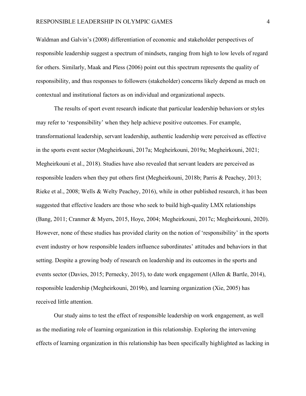Waldman and Galvin's (2008) differentiation of economic and stakeholder perspectives of responsible leadership suggest a spectrum of mindsets, ranging from high to low levels of regard for others. Similarly, Maak and Pless (2006) point out this spectrum represents the quality of responsibility, and thus responses to followers (stakeholder) concerns likely depend as much on contextual and institutional factors as on individual and organizational aspects.

The results of sport event research indicate that particular leadership behaviors or styles may refer to 'responsibility' when they help achieve positive outcomes. For example, transformational leadership, servant leadership, authentic leadership were perceived as effective in the sports event sector (Megheirkouni, 2017a; Megheirkouni, 2019a; Megheirkouni, 2021; Megheirkouni et al., 2018). Studies have also revealed that servant leaders are perceived as responsible leaders when they put others first (Megheirkouni, 2018b; Parris & Peachey, 2013; Rieke et al., 2008; Wells & Welty Peachey, 2016), while in other published research, it has been suggested that effective leaders are those who seek to build high-quality LMX relationships (Bang, 2011; Cranmer & Myers, 2015, Hoye, 2004; Megheirkouni, 2017c; Megheirkouni, 2020). However, none of these studies has provided clarity on the notion of 'responsibility' in the sports event industry or how responsible leaders influence subordinates' attitudes and behaviors in that setting. Despite a growing body of research on leadership and its outcomes in the sports and events sector (Davies, 2015; Pernecky, 2015), to date work engagement (Allen & Bartle, 2014), responsible leadership (Megheirkouni, 2019b), and learning organization (Xie, 2005) has received little attention.

Our study aims to test the effect of responsible leadership on work engagement, as well as the mediating role of learning organization in this relationship. Exploring the intervening effects of learning organization in this relationship has been specifically highlighted as lacking in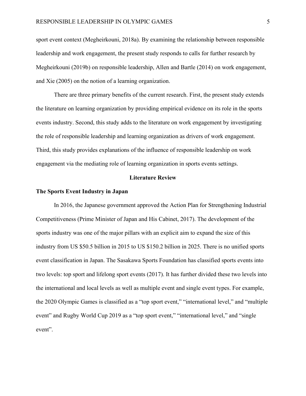sport event context (Megheirkouni, 2018a). By examining the relationship between responsible leadership and work engagement, the present study responds to calls for further research by Megheirkouni (2019b) on responsible leadership, Allen and Bartle (2014) on work engagement, and Xie (2005) on the notion of a learning organization.

There are three primary benefits of the current research. First, the present study extends the literature on learning organization by providing empirical evidence on its role in the sports events industry. Second, this study adds to the literature on work engagement by investigating the role of responsible leadership and learning organization as drivers of work engagement. Third, this study provides explanations of the influence of responsible leadership on work engagement via the mediating role of learning organization in sports events settings.

#### **Literature Review**

#### **The Sports Event Industry in Japan**

In 2016, the Japanese government approved the Action Plan for Strengthening Industrial Competitiveness (Prime Minister of Japan and His Cabinet, 2017). The development of the sports industry was one of the major pillars with an explicit aim to expand the size of this industry from US \$50.5 billion in 2015 to US \$150.2 billion in 2025. There is no unified sports event classification in Japan. The Sasakawa Sports Foundation has classified sports events into two levels: top sport and lifelong sport events (2017). It has further divided these two levels into the international and local levels as well as multiple event and single event types. For example, the 2020 Olympic Games is classified as a "top sport event," "international level," and "multiple event" and Rugby World Cup 2019 as a "top sport event," "international level," and "single" event".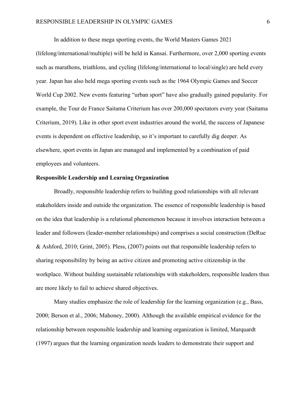In addition to these mega sporting events, the World Masters Games 2021

(lifelong/international/multiple) will be held in Kansai. Furthermore, over 2,000 sporting events such as marathons, triathlons, and cycling (lifelong/international to local/single) are held every year. Japan has also held mega sporting events such as the 1964 Olympic Games and Soccer World Cup 2002. New events featuring "urban sport" have also gradually gained popularity. For example, the Tour de France Saitama Criterium has over 200,000 spectators every year (Saitama Criterium, 2019). Like in other sport event industries around the world, the success of Japanese events is dependent on effective leadership, so it's important to carefully dig deeper. As elsewhere, sport events in Japan are managed and implemented by a combination of paid employees and volunteers.

#### **Responsible Leadership and Learning Organization**

Broadly, responsible leadership refers to building good relationships with all relevant stakeholders inside and outside the organization. The essence of responsible leadership is based on the idea that leadership is a relational phenomenon because it involves interaction between a leader and followers (leader-member relationships) and comprises a social construction (DeRue & Ashford, 2010; Grint, 2005). Pless, (2007) points out that responsible leadership refers to sharing responsibility by being an active citizen and promoting active citizenship in the workplace. Without building sustainable relationships with stakeholders, responsible leaders thus are more likely to fail to achieve shared objectives.

Many studies emphasize the role of leadership for the learning organization (e.g., Bass, 2000; Berson et al., 2006; Mahoney, 2000). Although the available empirical evidence for the relationship between responsible leadership and learning organization is limited, Marquardt (1997) argues that the learning organization needs leaders to demonstrate their support and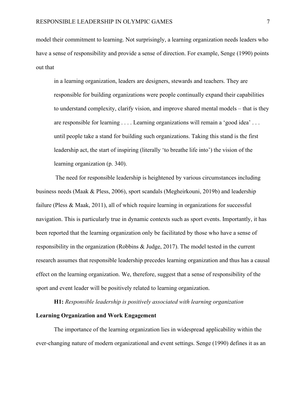model their commitment to learning. Not surprisingly, a learning organization needs leaders who have a sense of responsibility and provide a sense of direction. For example, Senge (1990) points out that

in a learning organization, leaders are designers, stewards and teachers. They are responsible for building organizations were people continually expand their capabilities to understand complexity, clarify vision, and improve shared mental models – that is they are responsible for learning . . . . Learning organizations will remain a 'good idea' . . . until people take a stand for building such organizations. Taking this stand is the first leadership act, the start of inspiring (literally 'to breathe life into') the vision of the learning organization (p. 340).

The need for responsible leadership is heightened by various circumstances including business needs (Maak & Pless, 2006), sport scandals (Megheirkouni, 2019b) and leadership failure (Pless & Maak, 2011), all of which require learning in organizations for successful navigation. This is particularly true in dynamic contexts such as sport events. Importantly, it has been reported that the learning organization only be facilitated by those who have a sense of responsibility in the organization (Robbins & Judge, 2017). The model tested in the current research assumes that responsible leadership precedes learning organization and thus has a causal effect on the learning organization. We, therefore, suggest that a sense of responsibility of the sport and event leader will be positively related to learning organization.

**H1:** *Responsible leadership is positively associated with learning organization*

#### **Learning Organization and Work Engagement**

The importance of the learning organization lies in widespread applicability within the ever-changing nature of modern organizational and event settings. Senge (1990) defines it as an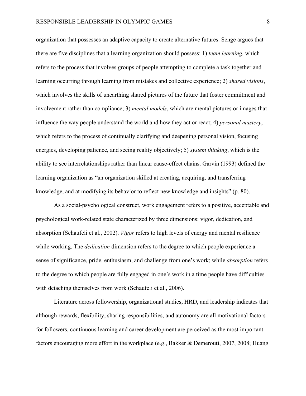organization that possesses an adaptive capacity to create alternative futures. Senge argues that there are five disciplines that a learning organization should possess: 1) *team learning*, which refers to the process that involves groups of people attempting to complete a task together and learning occurring through learning from mistakes and collective experience; 2) *shared visions*, which involves the skills of unearthing shared pictures of the future that foster commitment and involvement rather than compliance; 3) *mental models*, which are mental pictures or images that influence the way people understand the world and how they act or react; 4) *personal mastery*, which refers to the process of continually clarifying and deepening personal vision, focusing energies, developing patience, and seeing reality objectively; 5) *system thinking*, which is the ability to see interrelationships rather than linear cause-effect chains. Garvin (1993) defined the learning organization as "an organization skilled at creating, acquiring, and transferring knowledge, and at modifying its behavior to reflect new knowledge and insights" (p. 80).

As a social-psychological construct, work engagement refers to a positive, acceptable and psychological work-related state characterized by three dimensions: vigor, dedication, and absorption (Schaufeli et al., 2002). *Vigor* refers to high levels of energy and mental resilience while working. The *dedication* dimension refers to the degree to which people experience a sense of significance, pride, enthusiasm, and challenge from one's work; while *absorption* refers to the degree to which people are fully engaged in one's work in a time people have difficulties with detaching themselves from work (Schaufeli et al., 2006).

Literature across followership, organizational studies, HRD, and leadership indicates that although rewards, flexibility, sharing responsibilities, and autonomy are all motivational factors for followers, continuous learning and career development are perceived as the most important factors encouraging more effort in the workplace (e.g., Bakker & Demerouti, 2007, 2008; Huang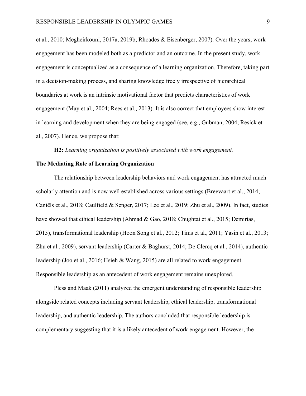et al., 2010; Megheirkouni, 2017a, 2019b; Rhoades & Eisenberger, 2007). Over the years, work engagement has been modeled both as a predictor and an outcome. In the present study, work engagement is conceptualized as a consequence of a learning organization. Therefore, taking part in a decision-making process, and sharing knowledge freely irrespective of hierarchical boundaries at work is an intrinsic motivational factor that predicts characteristics of work engagement (May et al., 2004; Rees et al., 2013). It is also correct that employees show interest in learning and development when they are being engaged (see, e.g., Gubman, 2004; Resick et al., 2007). Hence, we propose that:

**H2:** *Learning organization is positively associated with work engagement.*

#### **The Mediating Role of Learning Organization**

The relationship between leadership behaviors and work engagement has attracted much scholarly attention and is now well established across various settings (Breevaart et al., 2014; Caniëls et al., 2018; Caulfield & Senger, 2017; Lee et al., 2019; Zhu et al., 2009). In fact, studies have showed that ethical leadership (Ahmad & Gao, 2018; Chughtai et al., 2015; Demirtas, 2015), transformational leadership (Hoon Song et al., 2012; Tims et al., 2011; Yasin et al., 2013; Zhu et al., 2009), servant leadership (Carter & Baghurst, 2014; De Clercq et al., 2014), authentic leadership (Joo et al., 2016; Hsieh & Wang, 2015) are all related to work engagement. Responsible leadership as an antecedent of work engagement remains unexplored.

Pless and Maak (2011) analyzed the emergent understanding of responsible leadership alongside related concepts including servant leadership, ethical leadership, transformational leadership, and authentic leadership. The authors concluded that responsible leadership is complementary suggesting that it is a likely antecedent of work engagement. However, the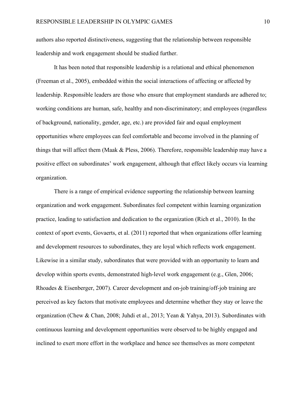authors also reported distinctiveness, suggesting that the relationship between responsible leadership and work engagement should be studied further.

It has been noted that responsible leadership is a relational and ethical phenomenon (Freeman et al., 2005), embedded within the social interactions of affecting or affected by leadership. Responsible leaders are those who ensure that employment standards are adhered to; working conditions are human, safe, healthy and non-discriminatory; and employees (regardless of background, nationality, gender, age, etc.) are provided fair and equal employment opportunities where employees can feel comfortable and become involved in the planning of things that will affect them (Maak & Pless, 2006). Therefore, responsible leadership may have a positive effect on subordinates' work engagement, although that effect likely occurs via learning organization.

There is a range of empirical evidence supporting the relationship between learning organization and work engagement. Subordinates feel competent within learning organization practice, leading to satisfaction and dedication to the organization (Rich et al., 2010). In the context of sport events, Govaerts, et al. (2011) reported that when organizations offer learning and development resources to subordinates, they are loyal which reflects work engagement. Likewise in a similar study, subordinates that were provided with an opportunity to learn and develop within sports events, demonstrated high-level work engagement (e.g., Glen, 2006; Rhoades & Eisenberger, 2007). Career development and on-job training/off-job training are perceived as key factors that motivate employees and determine whether they stay or leave the organization (Chew & Chan, 2008; Juhdi et al., 2013; Yean & Yahya, 2013). Subordinates with continuous learning and development opportunities were observed to be highly engaged and inclined to exert more effort in the workplace and hence see themselves as more competent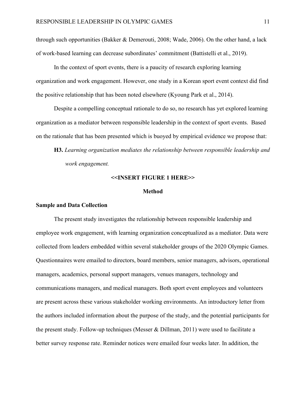through such opportunities (Bakker & Demerouti, 2008; Wade, 2006). On the other hand, a lack of work-based learning can decrease subordinates' commitment (Battistelli et al., 2019).

In the context of sport events, there is a paucity of research exploring learning organization and work engagement. However, one study in a Korean sport event context did find the positive relationship that has been noted elsewhere (Kyoung Park et al., 2014).

Despite a compelling conceptual rationale to do so, no research has yet explored learning organization as a mediator between responsible leadership in the context of sport events. Based on the rationale that has been presented which is buoyed by empirical evidence we propose that:

**H3.** *Learning organization mediates the relationship between responsible leadership and work engagement.* 

#### **<<INSERT FIGURE 1 HERE>>**

#### **Method**

#### **Sample and Data Collection**

The present study investigates the relationship between responsible leadership and employee work engagement, with learning organization conceptualized as a mediator. Data were collected from leaders embedded within several stakeholder groups of the 2020 Olympic Games. Questionnaires were emailed to directors, board members, senior managers, advisors, operational managers, academics, personal support managers, venues managers, technology and communications managers, and medical managers. Both sport event employees and volunteers are present across these various stakeholder working environments. An introductory letter from the authors included information about the purpose of the study, and the potential participants for the present study. Follow-up techniques (Messer & Dillman, 2011) were used to facilitate a better survey response rate. Reminder notices were emailed four weeks later. In addition, the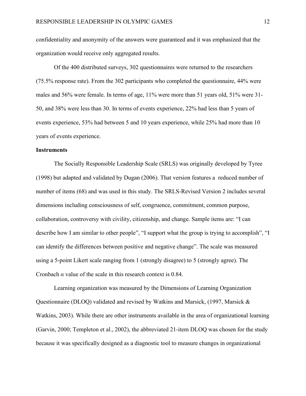confidentiality and anonymity of the answers were guaranteed and it was emphasized that the organization would receive only aggregated results.

Of the 400 distributed surveys, 302 questionnaires were returned to the researchers (75.5% response rate). From the 302 participants who completed the questionnaire, 44% were males and 56% were female. In terms of age, 11% were more than 51 years old, 51% were 31- 50, and 38% were less than 30. In terms of events experience, 22% had less than 5 years of events experience, 53% had between 5 and 10 years experience, while 25% had more than 10 years of events experience.

#### **Instruments**

The Socially Responsible Leadership Scale (SRLS) was originally developed by Tyree (1998) but adapted and validated by Dugan (2006). That version features a reduced number of number of items (68) and was used in this study. The SRLS-Revised Version 2 includes several dimensions including consciousness of self, congruence, commitment, common purpose, collaboration, controversy with civility, citizenship, and change. Sample items are: "I can describe how I am similar to other people", "I support what the group is trying to accomplish", "I can identify the differences between positive and negative change". The scale was measured using a 5-point Likert scale ranging from 1 (strongly disagree) to 5 (strongly agree). The Cronbach  $\alpha$  value of the scale in this research context is 0.84.

Learning organization was measured by the Dimensions of Learning Organization Questionnaire (DLOQ) validated and revised by Watkins and Marsick, (1997, Marsick & Watkins, 2003). While there are other instruments available in the area of organizational learning (Garvin, 2000; Templeton et al., 2002), the abbreviated 21-item DLOQ was chosen for the study because it was specifically designed as a diagnostic tool to measure changes in organizational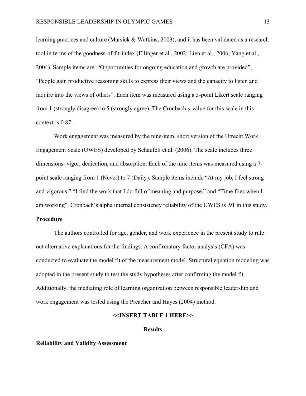learning practices and culture (Marsick & Watkins, 2003), and it has been validated as a research tool in terms of the goodness-of-fit-index (Ellinger et al., 2002; Lien et al., 2006; Yang et al., 2004). Sample items are: "Opportunities for ongoing education and growth are provided", "People gain productive reasoning skills to express their views and the capacity to listen and inquire into the views of others". Each item was measured using a 5-point Likert scale ranging from 1 (strongly disagree) to 5 (strongly agree). The Cronbach *α* value for this scale in this context is 0.87.

Work engagement was measured by the nine-item, short version of the Utrecht Work Engagement Scale (UWES) developed by Schaufeli et al. (2006). The scale includes three dimensions: vigor, dedication, and absorption. Each of the nine items was measured using a 7 point scale ranging from 1 (Never) to 7 (Daily). Sample items include "At my job, I feel strong and vigorous." "I find the work that I do full of meaning and purpose." and "Time flies when I am working". Cronbach's alpha internal consistency reliability of the UWES is .91 in this study.

### **Procedure**

The authors controlled for age, gender, and work experience in the present study to rule out alternative explanations for the findings. A confirmatory factor analysis (CFA) was conducted to evaluate the model fit of the measurement model. Structural equation modeling was adopted in the present study to test the study hypotheses after confirming the model fit. Additionally, the mediating role of learning organization between responsible leadership and work engagement was tested using the Preacher and Hayes (2004) method.

#### **<<INSERT TABLE 1 HERE>>**

#### **Results**

#### **Reliability and Validity Assessment**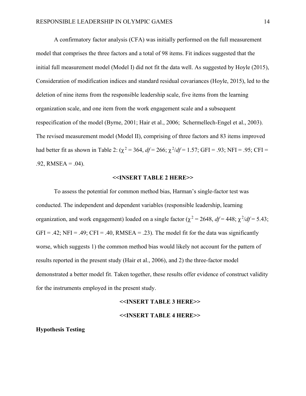A confirmatory factor analysis (CFA) was initially performed on the full measurement model that comprises the three factors and a total of 98 items. Fit indices suggested that the initial full measurement model (Model I) did not fit the data well. As suggested by Hoyle (2015), Consideration of modification indices and standard residual covariances (Hoyle, 2015), led to the deletion of nine items from the responsible leadership scale, five items from the learning organization scale, and one item from the work engagement scale and a subsequent respecification of the model (Byrne, 2001; Hair et al., 2006; Schermellech-Engel et al., 2003). The revised measurement model (Model II), comprising of three factors and 83 items improved had better fit as shown in Table 2:  $(\chi^2 = 364, df = 266; \chi^2/df = 1.57; GFI = .93; NFI = .95; CFI =$  $.92$ , RMSEA =  $.04$ ).

#### **<<INSERT TABLE 2 HERE>>**

To assess the potential for common method bias, Harman's single-factor test was conducted. The independent and dependent variables (responsible leadership, learning organization, and work engagement) loaded on a single factor ( $\chi^2$  = 2648, *df* = 448;  $\chi^2/df$  = 5.43;  $GFI = .42$ ;  $NFI = .49$ ;  $CFI = .40$ ,  $RMSEA = .23$ ). The model fit for the data was significantly worse, which suggests 1) the common method bias would likely not account for the pattern of results reported in the present study (Hair et al., 2006), and 2) the three-factor model demonstrated a better model fit. Taken together, these results offer evidence of construct validity for the instruments employed in the present study.

#### **<<INSERT TABLE 3 HERE>>**

#### **<<INSERT TABLE 4 HERE>>**

#### **Hypothesis Testing**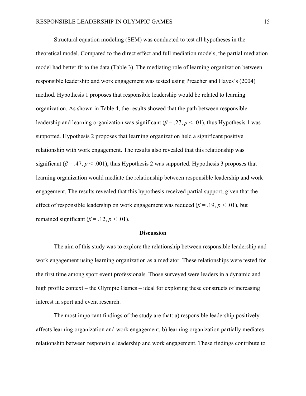Structural equation modeling (SEM) was conducted to test all hypotheses in the theoretical model. Compared to the direct effect and full mediation models, the partial mediation model had better fit to the data (Table 3). The mediating role of learning organization between responsible leadership and work engagement was tested using Preacher and Hayes's (2004) method. Hypothesis 1 proposes that responsible leadership would be related to learning organization. As shown in Table 4, the results showed that the path between responsible leadership and learning organization was significant ( $\beta = .27$ ,  $p < .01$ ), thus Hypothesis 1 was supported. Hypothesis 2 proposes that learning organization held a significant positive relationship with work engagement. The results also revealed that this relationship was significant ( $\beta$  = .47,  $p$  < .001), thus Hypothesis 2 was supported. Hypothesis 3 proposes that learning organization would mediate the relationship between responsible leadership and work engagement. The results revealed that this hypothesis received partial support, given that the effect of responsible leadership on work engagement was reduced ( $\beta$  = .19,  $p$  < .01), but remained significant  $(\beta = .12, p < .01)$ .

#### **Discussion**

The aim of this study was to explore the relationship between responsible leadership and work engagement using learning organization as a mediator. These relationships were tested for the first time among sport event professionals. Those surveyed were leaders in a dynamic and high profile context – the Olympic Games – ideal for exploring these constructs of increasing interest in sport and event research.

The most important findings of the study are that: a) responsible leadership positively affects learning organization and work engagement, b) learning organization partially mediates relationship between responsible leadership and work engagement. These findings contribute to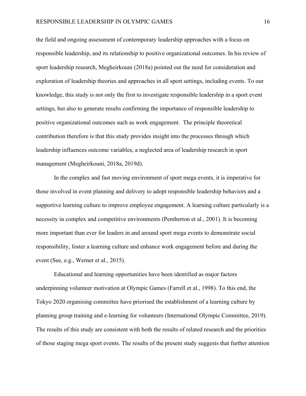the field and ongoing assessment of contemporary leadership approaches with a focus on responsible leadership, and its relationship to positive organizational outcomes. In his review of sport leadership research, Megheirkouni (2018a) pointed out the need for consideration and exploration of leadership theories and approaches in all sport settings, including events. To our knowledge, this study is not only the first to investigate responsible leadership in a sport event settings, but also to generate results confirming the importance of responsible leadership to positive organizational outcomes such as work engagement. The principle theoretical contribution therefore is that this study provides insight into the processes through which leadership influences outcome variables, a neglected area of leadership research in sport management (Megheirkouni, 2018a, 2019d).

In the complex and fast moving environment of sport mega events, it is imperative for those involved in event planning and delivery to adopt responsible leadership behaviors and a supportive learning culture to improve employee engagement. A learning culture particularly is a necessity in complex and competitive environments (Pemberton et al., 2001). It is becoming more important than ever for leaders in and around sport mega events to demonstrate social responsibility, foster a learning culture and enhance work engagement before and during the event (See, e.g., Werner et al., 2015).

Educational and learning opportunities have been identified as major factors underpinning volunteer motivation at Olympic Games (Farrell et al., 1998). To this end, the Tokyo 2020 organising committee have priorised the establishment of a learning culture by planning group training and e-learning for volunteers (International Olympic Committee, 2019). The results of this study are consistent with both the results of related research and the priorities of those staging mega sport events. The results of the present study suggests that further attention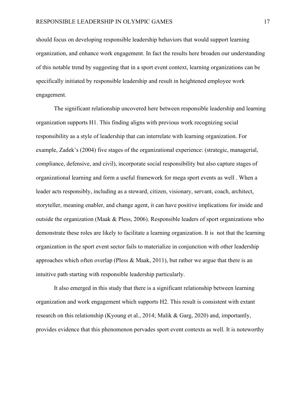should focus on developing responsible leadership behaviors that would support learning organization, and enhance work engagement. In fact the results here broaden our understanding of this notable trend by suggesting that in a sport event context, learning organizations can be specifically initiated by responsible leadership and result in heightened employee work engagement.

The significant relationship uncovered here between responsible leadership and learning organization supports H1. This finding aligns with previous work recognizing social responsibility as a style of leadership that can interrelate with learning organization. For example, Zadek's (2004) five stages of the organizational experience: (strategic, managerial, compliance, defensive, and civil), incorporate social responsibility but also capture stages of organizational learning and form a useful framework for mega sport events as well . When a leader acts responsibly, including as a steward, citizen, visionary, servant, coach, architect, storyteller, meaning enabler, and change agent, it can have positive implications for inside and outside the organization (Maak & Pless, 2006). Responsible leaders of sport organizations who demonstrate these roles are likely to facilitate a learning organization. It is not that the learning organization in the sport event sector fails to materialize in conjunction with other leadership approaches which often overlap (Pless & Maak, 2011), but rather we argue that there is an intuitive path starting with responsible leadership particularly.

It also emerged in this study that there is a significant relationship between learning organization and work engagement which supports H2. This result is consistent with extant research on this relationship (Kyoung et al., 2014; Malik & Garg, 2020) and, importantly, provides evidence that this phenomenon pervades sport event contexts as well. It is noteworthy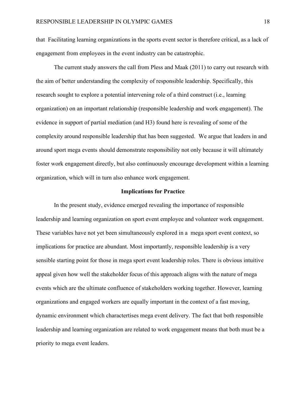that Facilitating learning organizations in the sports event sector is therefore critical, as a lack of engagement from employees in the event industry can be catastrophic.

The current study answers the call from Pless and Maak (2011) to carry out research with the aim of better understanding the complexity of responsible leadership. Specifically, this research sought to explore a potential intervening role of a third construct (i.e., learning organization) on an important relationship (responsible leadership and work engagement). The evidence in support of partial mediation (and H3) found here is revealing of some of the complexity around responsible leadership that has been suggested. We argue that leaders in and around sport mega events should demonstrate responsibility not only because it will ultimately foster work engagement directly, but also continuously encourage development within a learning organization, which will in turn also enhance work engagement.

#### **Implications for Practice**

In the present study, evidence emerged revealing the importance of responsible leadership and learning organization on sport event employee and volunteer work engagement. These variables have not yet been simultaneously explored in a mega sport event context, so implications for practice are abundant. Most importantly, responsible leadership is a very sensible starting point for those in mega sport event leadership roles. There is obvious intuitive appeal given how well the stakeholder focus of this approach aligns with the nature of mega events which are the ultimate confluence of stakeholders working together. However, learning organizations and engaged workers are equally important in the context of a fast moving, dynamic environment which charactertises mega event delivery. The fact that both responsible leadership and learning organization are related to work engagement means that both must be a priority to mega event leaders.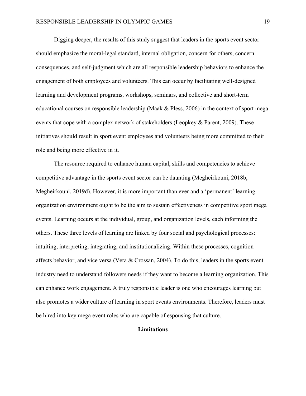Digging deeper, the results of this study suggest that leaders in the sports event sector should emphasize the moral-legal standard, internal obligation, concern for others, concern consequences, and self-judgment which are all responsible leadership behaviors to enhance the engagement of both employees and volunteers. This can occur by facilitating well-designed learning and development programs, workshops, seminars, and collective and short-term educational courses on responsible leadership (Maak & Pless, 2006) in the context of sport mega events that cope with a complex network of stakeholders (Leopkey & Parent, 2009). These initiatives should result in sport event employees and volunteers being more committed to their role and being more effective in it.

The resource required to enhance human capital, skills and competencies to achieve competitive advantage in the sports event sector can be daunting (Megheirkouni, 2018b, Megheirkouni, 2019d). However, it is more important than ever and a 'permanent' learning organization environment ought to be the aim to sustain effectiveness in competitive sport mega events. Learning occurs at the individual, group, and organization levels, each informing the others. These three levels of learning are linked by four social and psychological processes: intuiting, interpreting, integrating, and institutionalizing. Within these processes, cognition affects behavior, and vice versa (Vera & Crossan, 2004). To do this, leaders in the sports event industry need to understand followers needs if they want to become a learning organization. This can enhance work engagement. A truly responsible leader is one who encourages learning but also promotes a wider culture of learning in sport events environments. Therefore, leaders must be hired into key mega event roles who are capable of espousing that culture.

#### **Limitations**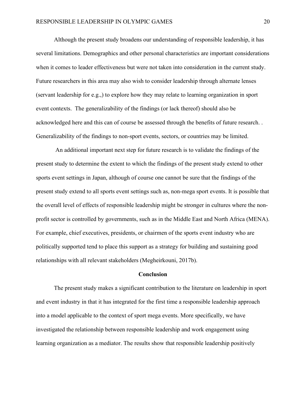Although the present study broadens our understanding of responsible leadership, it has several limitations. Demographics and other personal characteristics are important considerations when it comes to leader effectiveness but were not taken into consideration in the current study. Future researchers in this area may also wish to consider leadership through alternate lenses (servant leadership for e.g.,) to explore how they may relate to learning organization in sport event contexts. The generalizability of the findings (or lack thereof) should also be acknowledged here and this can of course be assessed through the benefits of future research. . Generalizability of the findings to non-sport events, sectors, or countries may be limited.

An additional important next step for future research is to validate the findings of the present study to determine the extent to which the findings of the present study extend to other sports event settings in Japan, although of course one cannot be sure that the findings of the present study extend to all sports event settings such as, non-mega sport events. It is possible that the overall level of effects of responsible leadership might be stronger in cultures where the nonprofit sector is controlled by governments, such as in the Middle East and North Africa (MENA). For example, chief executives, presidents, or chairmen of the sports event industry who are politically supported tend to place this support as a strategy for building and sustaining good relationships with all relevant stakeholders (Megheirkouni, 2017b).

#### **Conclusion**

The present study makes a significant contribution to the literature on leadership in sport and event industry in that it has integrated for the first time a responsible leadership approach into a model applicable to the context of sport mega events. More specifically, we have investigated the relationship between responsible leadership and work engagement using learning organization as a mediator. The results show that responsible leadership positively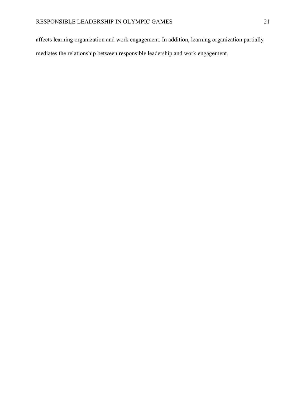affects learning organization and work engagement. In addition, learning organization partially mediates the relationship between responsible leadership and work engagement.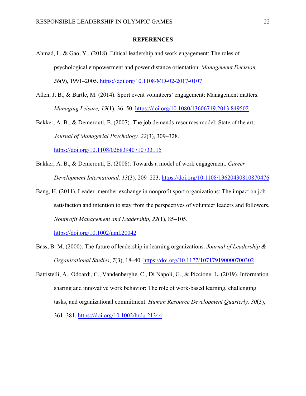#### **REFERENCES**

- Ahmad, I., & Gao, Y., (2018). Ethical leadership and work engagement: The roles of psychological empowerment and power distance orientation. *Management Decision, 56*(9), 1991–2005. <https://doi.org/10.1108/MD-02-2017-0107>
- Allen, J. B., & Bartle, M. (2014). Sport event volunteers' engagement: Management matters. *Managing Leisure, 19*(1), 36–50.<https://doi.org/10.1080/13606719.2013.849502>
- Bakker, A. B., & Demerouti, E. (2007). The job demands-resources model: State of the art, *Journal of Managerial Psychology, 22*(3), 309–328. <https://doi.org/10.1108/02683940710733115>
- Bakker, A. B., & Demerouti, E. (2008). Towards a model of work engagement. *Career Development International, 13*(3), 209–223.<https://doi.org/10.1108/13620430810870476>
- Bang, H. (2011). Leader–member exchange in nonprofit sport organizations: The impact on job satisfaction and intention to stay from the perspectives of volunteer leaders and followers. *Nonprofit Management and Leadership, 22*(1), 85–105.

<https://doi.org/10.1002/nml.20042>

- Bass, B. M. (2000). The future of leadership in learning organizations. *Journal of Leadership & Organizational Studies*, *7*(3), 18–40.<https://doi.org/10.1177/107179190000700302>
- Battistelli, A., Odoardi, C., Vandenberghe, C., Di Napoli, G., & Piccione, L. (2019). Information sharing and innovative work behavior: The role of work‐based learning, challenging tasks, and organizational commitment. *Human Resource Development Quarterly. 30*(3), 361–381.<https://doi.org/10.1002/hrdq.21344>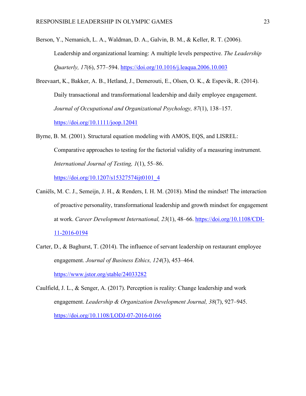Berson, Y., Nemanich, L. A., Waldman, D. A., Galvin, B. M., & Keller, R. T. (2006). Leadership and organizational learning: A multiple levels perspective. *The Leadership Quarterly, 17*(6), 577–594.<https://doi.org/10.1016/j.leaqua.2006.10.003>

Breevaart, K., Bakker, A. B., Hetland, J., Demerouti, E., Olsen, O. K., & Espevik, R. (2014). Daily transactional and transformational leadership and daily employee engagement. *Journal of Occupational and Organizational Psychology, 87*(1), 138–157. <https://doi.org/10.1111/joop.12041>

Byrne, B. M. (2001). Structural equation modeling with AMOS, EQS, and LISREL: Comparative approaches to testing for the factorial validity of a measuring instrument. *International Journal of Testing, 1*(1), 55–86.

[https://doi.org/10.1207/s15327574ijt0101\\_4](https://doi.org/10.1207/s15327574ijt0101_4)

- Caniëls, M. C. J., Semeijn, J. H., & Renders, I. H. M. (2018). Mind the mindset! The interaction of proactive personality, transformational leadership and growth mindset for engagement at work. *Career Development International, 23*(1), 48–66. [https://doi.org/10.1108/CDI-](https://doi.org/10.1108/CDI-11-2016-0194)[11-2016-0194](https://doi.org/10.1108/CDI-11-2016-0194)
- Carter, D., & Baghurst, T. (2014). The influence of servant leadership on restaurant employee engagement. *Journal of Business Ethics, 124*(3), 453–464. <https://www.jstor.org/stable/24033282>
- Caulfield, J. L., & Senger, A. (2017). Perception is reality: Change leadership and work engagement. *Leadership & Organization Development Journal, 38*(7), 927–945. <https://doi.org/10.1108/LODJ-07-2016-0166>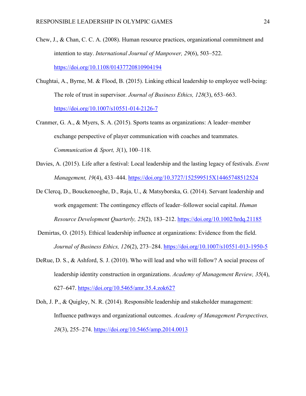- Chew, J., & Chan, C. C. A. (2008). Human resource practices, organizational commitment and intention to stay. *International Journal of Manpower, 29*(6), 503–522. <https://doi.org/10.1108/01437720810904194>
- Chughtai, A., Byrne, M. & Flood, B. (2015). Linking ethical leadership to employee well-being: The role of trust in supervisor. *Journal of Business Ethics, 128*(3), 653–663. <https://doi.org/10.1007/s10551-014-2126-7>
- Cranmer, G. A., & Myers, S. A. (2015). Sports teams as organizations: A leader–member exchange perspective of player communication with coaches and teammates. *Communication & Sport, 3*(1), 100–118.
- Davies, A. (2015). Life after a festival: Local leadership and the lasting legacy of festivals. *Event Management, 19*(4), 433–444.<https://doi.org/10.3727/152599515X14465748512524>
- De Clercq, D., Bouckenooghe, D., Raja, U., & Matsyborska, G. (2014). Servant leadership and work engagement: The contingency effects of leader–follower social capital. *Human Resource Development Quarterly, 25*(2), 183–212.<https://doi.org/10.1002/hrdq.21185>
- Demirtas, O. (2015). Ethical leadership influence at organizations: Evidence from the field. *Journal of Business Ethics, 126*(2), 273–284.<https://doi.org/10.1007/s10551-013-1950-5>
- DeRue, D. S., & Ashford, S. J. (2010). Who will lead and who will follow? A social process of leadership identity construction in organizations. *Academy of Management Review, 35*(4), 627–647.<https://doi.org/10.5465/amr.35.4.zok627>
- Doh, J. P., & Quigley, N. R. (2014). Responsible leadership and stakeholder management: Influence pathways and organizational outcomes. *Academy of Management Perspectives, 28*(3), 255–274.<https://doi.org/10.5465/amp.2014.0013>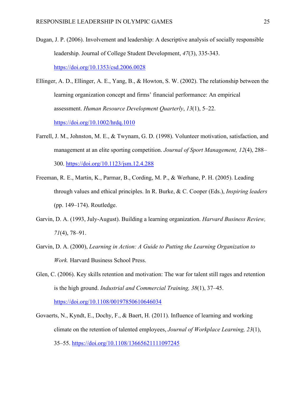- Dugan, J. P. (2006). Involvement and leadership: A descriptive analysis of socially responsible leadership. Journal of College Student Development, *47*(3), 335-343. <https://doi.org/10.1353/csd.2006.0028>
- Ellinger, A. D., Ellinger, A. E., Yang, B., & Howton, S. W. (2002). The relationship between the learning organization concept and firms' financial performance: An empirical assessment. *Human Resource Development Quarterly*, *13*(1), 5–22.

<https://doi.org/10.1002/hrdq.1010>

- Farrell, J. M., Johnston, M. E., & Twynam, G. D. (1998). Volunteer motivation, satisfaction, and management at an elite sporting competition. *Journal of Sport Management, 12*(4), 288– 300.<https://doi.org/10.1123/jsm.12.4.288>
- Freeman, R. E., Martin, K., Parmar, B., Cording, M. P., & Werhane, P. H. (2005). Leading through values and ethical principles. In R. Burke, & C. Cooper (Eds.), *Inspiring leaders* (pp. 149–174). Routledge.
- Garvin, D. A. (1993, July-August). Building a learning organization. *Harvard Business Review, 71*(4), 78–91.
- Garvin, D. A. (2000), *Learning in Action: A Guide to Putting the Learning Organization to Work.* Harvard Business School Press.
- Glen, C. (2006). Key skills retention and motivation: The war for talent still rages and retention is the high ground. *Industrial and Commercial Training, 38*(1), 37–45. <https://doi.org/10.1108/00197850610646034>
- Govaerts, N., Kyndt, E., Dochy, F., & Baert, H. (2011). Influence of learning and working climate on the retention of talented employees, *Journal of Workplace Learning, 23*(1), 35–55.<https://doi.org/10.1108/13665621111097245>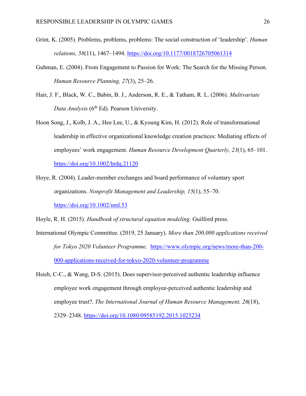- Grint, K. (2005). Problems, problems, problems: The social construction of 'leadership'. *Human relations, 58*(11), 1467–1494.<https://doi.org/10.1177/0018726705061314>
- Gubman, E. (2004). From Engagement to Passion for Work: The Search for the Missing Person. *Human Resource Planning, 27*(3), 25–26.
- Hair, J. F., Black, W. C., Babin, B. J., Anderson, R. E., & Tatham, R. L. (2006). *Multivariate Data Analysis* (6th Ed). Pearson University.
- Hoon Song, J., Kolb, J. A., Hee Lee, U., & Kyoung Kim, H. (2012). Role of transformational leadership in effective organizational knowledge creation practices: Mediating effects of employees' work engagement. *Human Resource Development Quarterly, 23*(1), 65–101. <https://doi.org/10.1002/hrdq.21120>
- Hoye, R. (2004). Leader‐member exchanges and board performance of voluntary sport organizations. *Nonprofit Management and Leadership, 15*(1), 55–70. <https://doi.org/10.1002/nml.53>

Hoyle, R. H. (2015). *Handbook of structural equation modeling.* Guilford press.

- International Olympic Committee. (2019, 25 January). *More than 200,000 applications received for Tokyo 2020 Volunteer Programme*. [https://www.olympic.org/news/more-than-200-](https://www.olympic.org/news/more-than-200-000-applications-received-for-tokyo-2020-volunteer-programme) [000-applications-received-for-tokyo-2020-volunteer-programme](https://www.olympic.org/news/more-than-200-000-applications-received-for-tokyo-2020-volunteer-programme)
- Hsieh, C-C., & Wang, D-S. (2015). Does supervisor-perceived authentic leadership influence employee work engagement through employee-perceived authentic leadership and employee trust?. *The International Journal of Human Resource Management, 26*(18), 2329–2348.<https://doi.org/10.1080/09585192.2015.1025234>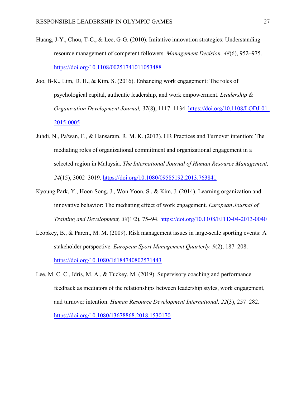- Huang, J-Y., Chou, T-C., & Lee, G-G. (2010). Imitative innovation strategies: Understanding resource management of competent followers. *Management Decision, 48*(6), 952–975. <https://doi.org/10.1108/00251741011053488>
- Joo, B-K., Lim, D. H., & Kim, S. (2016). Enhancing work engagement: The roles of psychological capital, authentic leadership, and work empowerment. *Leadership & Organization Development Journal, 37*(8), 1117–1134. [https://doi.org/10.1108/LODJ-01-](https://doi.org/10.1108/LODJ-01-2015-0005) [2015-0005](https://doi.org/10.1108/LODJ-01-2015-0005)
- Juhdi, N., Pa'wan, F., & Hansaram, R. M. K. (2013). HR Practices and Turnover intention: The mediating roles of organizational commitment and organizational engagement in a selected region in Malaysia. *The International Journal of Human Resource Management, 24*(15), 3002–3019.<https://doi.org/10.1080/09585192.2013.763841>
- Kyoung Park, Y., Hoon Song, J., Won Yoon, S., & Kim, J. (2014). Learning organization and innovative behavior: The mediating effect of work engagement. *European Journal of Training and Development, 38*(1/2), 75–94.<https://doi.org/10.1108/EJTD-04-2013-0040>
- Leopkey, B., & Parent, M. M. (2009). Risk management issues in large-scale sporting events: A stakeholder perspective. *European Sport Management Quarterly, 9*(2), 187–208. <https://doi.org/10.1080/16184740802571443>
- Lee, M. C. C., Idris, M. A., & Tuckey, M. (2019). Supervisory coaching and performance feedback as mediators of the relationships between leadership styles, work engagement, and turnover intention. *Human Resource Development International, 22*(3), 257–282. <https://doi.org/10.1080/13678868.2018.1530170>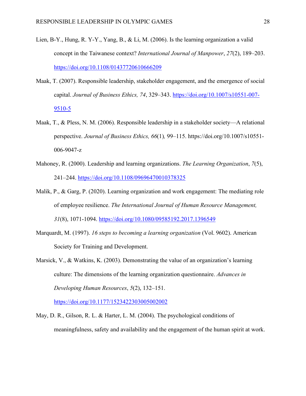- Lien, B-Y., Hung, R. Y-Y., Yang, B., & Li, M. (2006). Is the learning organization a valid concept in the Taiwanese context? *International Journal of Manpower*, *27*(2), 189–203. <https://doi.org/10.1108/01437720610666209>
- Maak, T. (2007). Responsible leadership, stakeholder engagement, and the emergence of social capital. *Journal of Business Ethics, 74*, 329–343. [https://doi.org/10.1007/s10551-007-](https://doi.org/10.1007/s10551-007-9510-5)  $9510-5$
- Maak, T., & Pless, N. M. (2006). Responsible leadership in a stakeholder society—A relational perspective. *Journal of Business Ethics, 66*(1)*,* 99–115. https://doi.org/10.1007/s10551- 006-9047-z
- Mahoney, R. (2000). Leadership and learning organizations. *The Learning Organization*, *7*(5), 241–244.<https://doi.org/10.1108/09696470010378325>
- Malik, P., & Garg, P. (2020). Learning organization and work engagement: The mediating role of employee resilience. *The International Journal of Human Resource Management, 31*(8), 1071-1094. <https://doi.org/10.1080/09585192.2017.1396549>
- Marquardt, M. (1997). *16 steps to becoming a learning organization* (Vol. 9602). American Society for Training and Development.
- Marsick, V., & Watkins, K. (2003). Demonstrating the value of an organization's learning culture: The dimensions of the learning organization questionnaire. *Advances in Developing Human Resources*, *5*(2), 132–151.

<https://doi.org/10.1177/1523422303005002002>

May, D. R., Gilson, R. L. & Harter, L. M. (2004). The psychological conditions of meaningfulness, safety and availability and the engagement of the human spirit at work.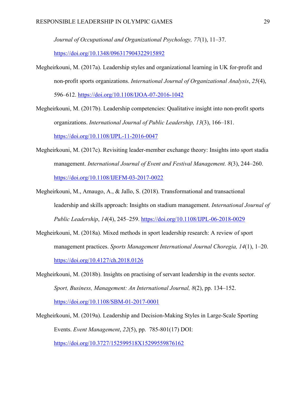*Journal of Occupational and Organizational Psychology, 77*(1), 11–37.

<https://doi.org/10.1348/096317904322915892>

Megheirkouni, M. (2017a). Leadership styles and organizational learning in UK for-profit and non-profit sports organizations. *International Journal of Organizational Analysis*, *25*(4), 596–612.<https://doi.org/10.1108/IJOA-07-2016-1042>

Megheirkouni, M. (2017b). Leadership competencies: Qualitative insight into non-profit sports organizations. *International Journal of Public Leadership, 13*(3), 166–181. <https://doi.org/10.1108/IJPL-11-2016-0047>

- Megheirkouni, M. (2017c). Revisiting leader-member exchange theory: Insights into sport stadia management. *International Journal of Event and Festival Management. 8*(3), 244–260. <https://doi.org/10.1108/IJEFM-03-2017-0022>
- [Megheirkouni, M.,](https://www.emerald.com/insight/search?q=Majd%20Megheirkouni) Amaugo, A., & [Jallo, S.](https://www.emerald.com/insight/search?q=Shehu%20Jallo) (2018). Transformational and transactional leadership and skills approach: Insights on stadium management. *International Journal of Public Leadership*, *14*(4), 245–259. <https://doi.org/10.1108/IJPL-06-2018-0029>
- Megheirkouni, M. (2018a). Mixed methods in sport leadership research: A review of sport management practices. *Sports Management International Journal Choregia, 14*(1), 1–20. <https://doi.org/10.4127/ch.2018.0126>
- Megheirkouni, M. (2018b). Insights on practising of servant leadership in the events sector. *Sport, Business, Management: An International Journal, 8*(2), pp. 134–152. <https://doi.org/10.1108/SBM-01-2017-0001>
- Megheirkouni, M. (2019a). Leadership and Decision-Making Styles in Large-Scale Sporting Events. *Event Management*, *22*(5), pp. 785-801(17) DOI: <https://doi.org/10.3727/152599518X15299559876162>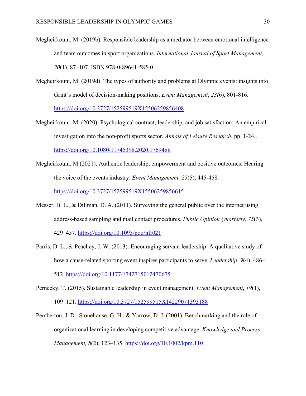- Megheirkouni, M. (2019b). Responsible leadership as a mediator between emotional intelligence and team outcomes in sport organizations. *International Journal of Sport Management, 20*(1), 87–107. ISBN 978-0-89641-585-0.
- Megheirkouni, M. (2019d). The types of authority and problems at Olympic events: insights into Grint's model of decision-making positions. *Event Management*, *23(*6), 801-816. <https://doi.org/10.3727/152599519X15506259856408>
- Megheirkouni, M. (2020). Psychological contract, leadership, and job satisfaction: An empirical investigation into the non-profit sports sector. *Annals of Leisure Research*, pp. 1-24*.*. <https://doi.org/10.1080/11745398.2020.1769488>
- Megheirkouni, M (2021). Authentic leadership, empowerment and positive outcomes: Hearing the voice of the events industry. *Event Management, 25*(5), 445-458. <https://doi.org/10.3727/152599519X15506259856615>
- Messer, B. L., & Dillman, D. A. (2011). Surveying the general public over the internet using address-based sampling and mail contact procedures. *Public Opinion Quarterly, 75*(3), 429–457.<https://doi.org/10.1093/poq/nfr021>
- Parris, D. L., & Peachey, J. W. (2013). Encouraging servant leadership: A qualitative study of how a cause-related sporting event inspires participants to serve. *Leadership*, *9*(4), 486– 512.<https://doi.org/10.1177/1742715012470675>
- Pernecky, T. (2015). Sustainable leadership in event management. *Event Management*, *19*(1), 109–121.<https://doi.org/10.3727/152599515X14229071393188>
- Pemberton, J. D., Stonehouse, G. H., & Yarrow, D. J. (2001). Benchmarking and the role of organizational learning in developing competitive advantage. *Knowledge and Process Management, 8*(2), 123–135.<https://doi.org/10.1002/kpm.110>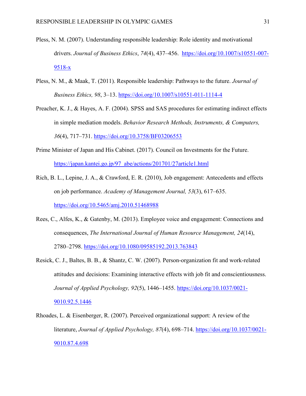- Pless, N. M. (2007). Understanding responsible leadership: Role identity and motivational drivers. *Journal of Business Ethics*, *74*(4), 437–456. [https://doi.org/10.1007/s10551-007-](https://doi.org/10.1007/s10551-007-9518-x)  $9518-x$
- Pless, N. M., & Maak, T. (2011). Responsible leadership: Pathways to the future. *Journal of Business Ethics, 98*, 3–13. <https://doi.org/10.1007/s10551-011-1114-4>
- Preacher, K. J., & Hayes, A. F. (2004). SPSS and SAS procedures for estimating indirect effects in simple mediation models. *Behavior Research Methods, Instruments, & Computers, 36*(4), 717–731. <https://doi.org/10.3758/BF03206553>
- Prime Minister of Japan and His Cabinet. (2017). Council on Investments for the Future. [https://japan.kantei.go.jp/97\\_abe/actions/201701/27article1.html](https://japan.kantei.go.jp/97_abe/actions/201701/27article1.html)
- Rich, B. L., Lepine, J. A., & Crawford, E. R. (2010), Job engagement: Antecedents and effects on job performance. *Academy of Management Journal, 53*(3), 617–635. <https://doi.org/10.5465/amj.2010.51468988>
- Rees, C., Alfes, K., & Gatenby, M. (2013). Employee voice and engagement: Connections and consequences, *The International Journal of Human Resource Management, 24*(14), 2780–2798.<https://doi.org/10.1080/09585192.2013.763843>
- Resick, C. J., Baltes, B. B., & Shantz, C. W. (2007). Person-organization fit and work-related attitudes and decisions: Examining interactive effects with job fit and conscientiousness. *Journal of Applied Psychology, 92*(5), 1446–1455. [https://doi.org/10.1037/0021-](https://doi.org/10.1037/0021-9010.92.5.1446) [9010.92.5.1446](https://doi.org/10.1037/0021-9010.92.5.1446)
- Rhoades, L. & Eisenberger, R. (2007). Perceived organizational support: A review of the literature, *Journal of Applied Psychology, 87*(4), 698–714. [https://doi.org/10.1037/0021-](https://doi.org/10.1037/0021-9010.87.4.698) [9010.87.4.698](https://doi.org/10.1037/0021-9010.87.4.698)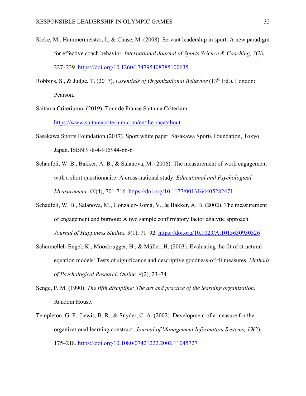- Rieke, M., Hammermeister, J., & Chase, M. (2008). Servant leadership in sport: A new paradigm for effective coach behavior. *International Journal of Sports Science & Coaching, 3*(2), 227–239.<https://doi.org/10.1260/174795408785100635>
- Robbins, S., & Judge, T. (2017), *Essentials of Organizational Behavior* (13<sup>th</sup> Ed.). London: Pearson.
- Saitama Criteriumu. (2019). Tour de France Saitama Criterium.

<https://www.saitamacriterium.com/en/the-race/about>

- Sasakawa Sports Foundation (2017). Sport white paper. Sasakawa Sports Foundation, Tokyo, Japan. ISBN 978-4-915944-66-6
- Schaufeli, W. B., Bakker, A. B., & Salanova, M. (2006). The measurement of work engagement with a short questionnaire: A cross-national study. *Educational and Psychological Measurement, 66*(4), 701-716.<https://doi.org/10.1177/0013164405282471>
- Schaufeli, W. B., Salanova, M., González-Romá, V., & Bakker, A. B. (2002). The measurement of engagement and burnout: A two sample confirmatory factor analytic approach. *Journal of Happiness Studies, 3*(1), 71–92. <https://doi.org/10.1023/A:1015630930326>
- Schermelleh-Engel, K., Moosbrugger, H., & Müller, H. (2003). Evaluating the fit of structural equation models: Tests of significance and descriptive goodness-of-fit measures. *Methods of Psychological Research Online, 8*(2), 23–74.
- Senge, P. M. (1990). *The fifth discipline: The art and practice of the learning organization*. Random House.
- Templeton, G. F., Lewis, B. R., & Snyder, C. A. (2002). Development of a measure for the organizational learning construct. *Journal of Management Information Systems, 19*(2), 175–218.<https://doi.org/10.1080/07421222.2002.11045727>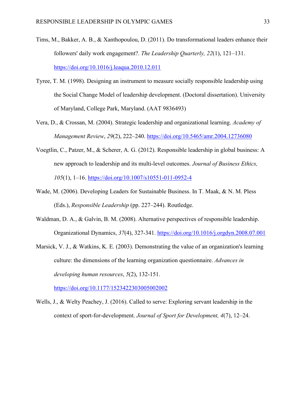- Tims, M., Bakker, A. B., & Xanthopoulou, D. (2011). Do transformational leaders enhance their followers' daily work engagement?. *The Leadership Quarterly, 22*(1), 121–131. <https://doi.org/10.1016/j.leaqua.2010.12.011>
- Tyree, T. M. (1998). Designing an instrument to measure socially responsible leadership using the Social Change Model of leadership development. (Doctoral dissertation). University of Maryland, College Park, Maryland. (AAT 9836493)
- Vera, D., & Crossan, M. (2004). Strategic leadership and organizational learning. *Academy of Management Review*, *29*(2), 222–240.<https://doi.org/10.5465/amr.2004.12736080>
- Voegtlin, C., Patzer, M., & Scherer, A. G. (2012). Responsible leadership in global business: A new approach to leadership and its multi-level outcomes. *Journal of Business Ethics, 105*(1), 1–16.<https://doi.org/10.1007/s10551-011-0952-4>
- Wade, M. (2006). Developing Leaders for Sustainable Business. In T. Maak, & N. M. Pless (Eds.), *Responsible Leadership* (pp. 227–244). Routledge.
- Waldman, D. A., & Galvin, B. M. (2008). Alternative perspectives of responsible leadership. Organizational Dynamics, *37*(4), 327-341. <https://doi.org/10.1016/j.orgdyn.2008.07.001>
- Marsick, V. J., & Watkins, K. E. (2003). Demonstrating the value of an organization's learning culture: the dimensions of the learning organization questionnaire. *Advances in developing human resources*, *5*(2), 132-151.

<https://doi.org/10.1177/1523422303005002002>

Wells, J., & Welty Peachey, J. (2016). Called to serve: Exploring servant leadership in the context of sport-for-development. *Journal of Sport for Development, 4*(7), 12–24.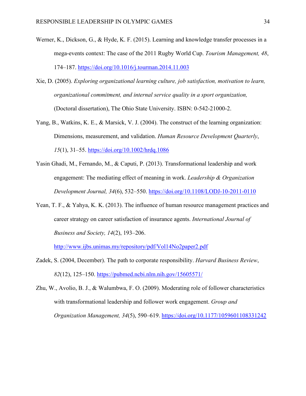- Werner, K., Dickson, G., & Hyde, K. F. (2015). Learning and knowledge transfer processes in a mega-events context: The case of the 2011 Rugby World Cup. *Tourism Management, 48*, 174–187.<https://doi.org/10.1016/j.tourman.2014.11.003>
- Xie, D. (2005). *Exploring organizational learning culture, job satisfaction, motivation to learn, organizational commitment, and internal service quality in a sport organization,* (Doctoral dissertation), The Ohio State University. ISBN: 0-542-21000-2.
- Yang, B., Watkins, K. E., & Marsick, V. J. (2004). The construct of the learning organization: Dimensions, measurement, and validation. *Human Resource Development Quarterly*, *15*(1), 31–55.<https://doi.org/10.1002/hrdq.1086>
- Yasin Ghadi, M., Fernando, M., & Caputi, P. (2013). Transformational leadership and work engagement: The mediating effect of meaning in work. *Leadership & Organization Development Journal, 34*(6), 532–550.<https://doi.org/10.1108/LODJ-10-2011-0110>
- Yean, T. F., & Yahya, K. K. (2013). The influence of human resource management practices and career strategy on career satisfaction of insurance agents. *International Journal of Business and Society, 14*(2), 193–206.

<http://www.ijbs.unimas.my/repository/pdf/Vol14No2paper2.pdf>

- Zadek, S. (2004, December). The path to corporate responsibility. *Harvard Business Review*, *82*(12), 125–150. <https://pubmed.ncbi.nlm.nih.gov/15605571/>
- Zhu, W., Avolio, B. J., & Walumbwa, F. O. (2009). Moderating role of follower characteristics with transformational leadership and follower work engagement. *Group and Organization Management, 34*(5), 590–619.<https://doi.org/10.1177/1059601108331242>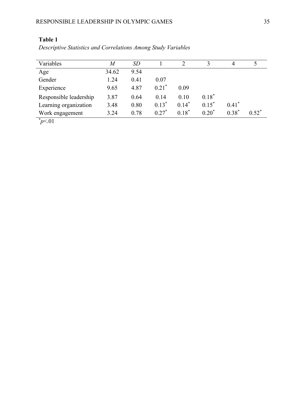| Variables              | M     | SD   |                     |          | $\mathbf{\mathbf{a}}$ | 4       |          |
|------------------------|-------|------|---------------------|----------|-----------------------|---------|----------|
| Age                    | 34.62 | 9.54 |                     |          |                       |         |          |
| Gender                 | 1.24  | 0.41 | 0.07                |          |                       |         |          |
| Experience             | 9.65  | 4.87 | $0.21$ <sup>*</sup> | 0.09     |                       |         |          |
| Responsible leadership | 3.87  | 0.64 | 0.14                | 0.10     | $0.18*$               |         |          |
| Learning organization  | 3.48  | 0.80 | $0.13*$             | $0.14*$  | $0.15^*$              | $0.41*$ |          |
| Work engagement        | 3.24  | 0.78 | $0.27*$             | $0.18^*$ | $0.20^*$              | $0.38*$ | $0.52^*$ |
| $*$ $\sim$             |       |      |                     |          |                       |         |          |

*Descriptive Statistics and Correlations Among Study Variables*

 $p<.01$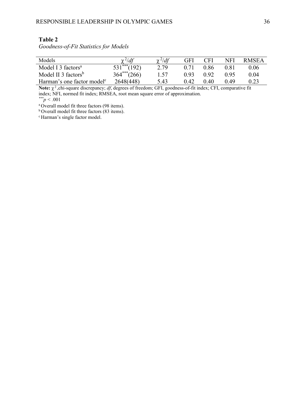*Goodness-of-Fit Statistics for Models*

| Models                                 | $dd^f$<br>$\sim$ $\sim$ | $\gamma^2/df$ | GFI   | ⊂FI  | NFI   | <b>RMSEA</b> |
|----------------------------------------|-------------------------|---------------|-------|------|-------|--------------|
| Model I 3 factors <sup>a</sup>         | (192)                   | 2.79          |       | 0.86 | 0.81  | 0.06         |
| Model II 3 factors <sup>b</sup>        | $364***$ (266)          | 1.57          | O 93  | 0.92 | 0.95  | 0.04         |
| Harman's one factor model <sup>c</sup> | 2648(448)               | 5 43          | () 42 | 0.40 | () 49 |              |

**Note:** χ 2 ,chi-square discrepancy; *df*, degrees of freedom; GFI, goodness-of-fit index; CFI, comparative fit index; NFI, normed fit index; RMSEA, root mean square error of approximation. *\*\*\*p < .*001

a Overall model fit three factors (98 items). b Overall model fit three factors (83 items).

c Harman's single factor model.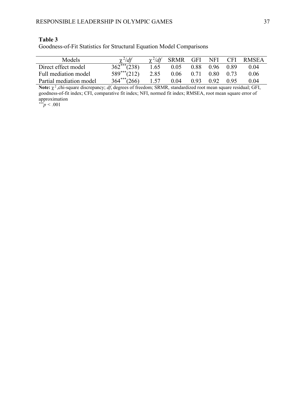Goodness-of-Fit Statistics for Structural Equation Model Comparisons

| Models.                 | $\gamma^2/df$     | $\gamma^2/df$ | SRMR |      | GFI NFI          | <b>CFI</b> | <b>RMSEA</b> |
|-------------------------|-------------------|---------------|------|------|------------------|------------|--------------|
| Direct effect model     | $362^{***} (238)$ | 1.65          | 0.05 |      | $0.88$ 0.96 0.89 |            | 0.04         |
| Full mediation model    | $589***(212)$     | 2.85          | 0.06 | 0.71 | $0.80\quad 0.73$ |            | 0.06         |
| Partial mediation model | $364***$ (266)    | 1.57          | 0.04 | 0.93 | 0.92             | 0.95       | 0.04         |

**Note:** χ 2 ,chi-square discrepancy; *df*, degrees of freedom; SRMR, standardized root mean square residual; GFI, goodness-of-fit index; CFI, comparative fit index; NFI, normed fit index; RMSEA, root mean square error of approximation

*\*\*\*p < .*001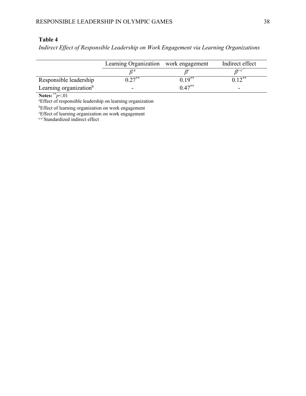*Indirect Effect of Responsible Leadership on Work Engagement via Learning Organizations*

|                                    | Learning Organization work engagement |           | Indirect effect |  |
|------------------------------------|---------------------------------------|-----------|-----------------|--|
|                                    |                                       |           | $\rho c$ - $c$  |  |
| Responsible leadership             | $\mathbf{a}$ $\mathbf{a}^{**}$        | $0.19***$ | ** ۱            |  |
| Learning organization <sup>b</sup> | -                                     | $0.47***$ |                 |  |

**Notes:** \*\**p*<.01

a Effect of responsible leadership on learning organization

<sup>b</sup>Effect of learning organization on work engagement

c Effect of learning organization on work engagement

c-c'Standardized indirect effect